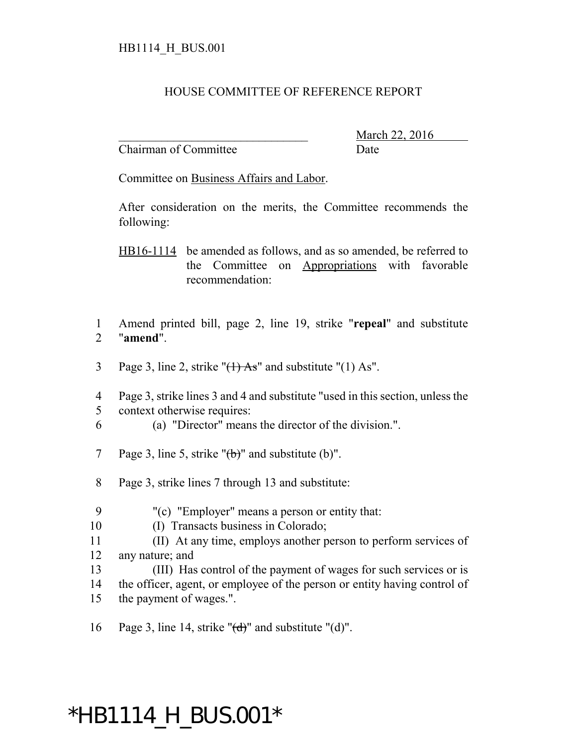## HOUSE COMMITTEE OF REFERENCE REPORT

Chairman of Committee Date

March 22, 2016

Committee on Business Affairs and Labor.

After consideration on the merits, the Committee recommends the following:

HB16-1114 be amended as follows, and as so amended, be referred to the Committee on Appropriations with favorable recommendation:

1 Amend printed bill, page 2, line 19, strike "**repeal**" and substitute 2 "**amend**".

- 3 Page 3, line 2, strike " $(1)$  As" and substitute " $(1)$  As".
- 4 Page 3, strike lines 3 and 4 and substitute "used in this section, unless the 5 context otherwise requires:
- 6 (a) "Director" means the director of the division.".
- 7 Page 3, line 5, strike " $\left(\frac{1}{b}\right)$ " and substitute (b)".
- 8 Page 3, strike lines 7 through 13 and substitute:
- 9 "(c) "Employer" means a person or entity that:
- 10 (I) Transacts business in Colorado;
- 11 (II) At any time, employs another person to perform services of 12 any nature; and
- 13 (III) Has control of the payment of wages for such services or is
- 14 the officer, agent, or employee of the person or entity having control of 15 the payment of wages.".
- 16 Page 3, line 14, strike " $(d)$ " and substitute " $(d)$ ".

## \*HB1114\_H\_BUS.001\*